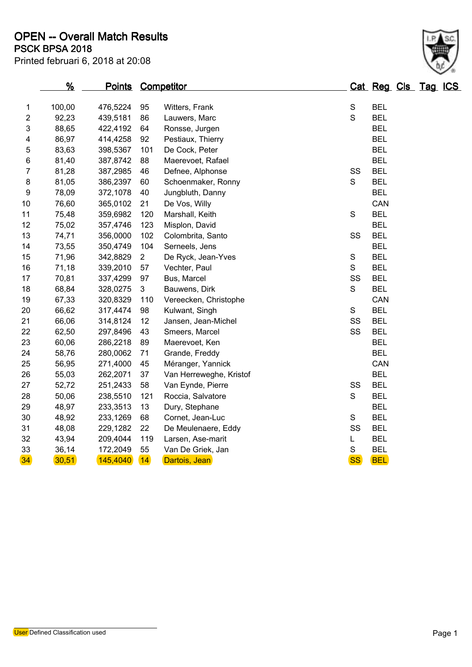| Printed februari 6, 2018 at 20:08 |
|-----------------------------------|
|                                   |

|                         | %      | <u>Points</u> |                | Competitor              |               | Cat Reg Cls Tag ICS |  |  |
|-------------------------|--------|---------------|----------------|-------------------------|---------------|---------------------|--|--|
| $\mathbf{1}$            | 100,00 | 476,5224      | 95             | Witters, Frank          | $\mathbf S$   | <b>BEL</b>          |  |  |
| $\overline{\mathbf{c}}$ | 92,23  | 439,5181      | 86             | Lauwers, Marc           | $\mathbf S$   | <b>BEL</b>          |  |  |
| 3                       | 88,65  | 422,4192      | 64             | Ronsse, Jurgen          |               | <b>BEL</b>          |  |  |
| 4                       | 86,97  | 414,4258      | 92             | Pestiaux, Thierry       |               | <b>BEL</b>          |  |  |
| 5                       | 83,63  | 398,5367      | 101            | De Cock, Peter          |               | <b>BEL</b>          |  |  |
| 6                       | 81,40  | 387,8742      | 88             | Maerevoet, Rafael       |               | <b>BEL</b>          |  |  |
| 7                       | 81,28  | 387,2985      | 46             | Defnee, Alphonse        | SS            | <b>BEL</b>          |  |  |
| 8                       | 81,05  | 386,2397      | 60             | Schoenmaker, Ronny      | $\mathbf S$   | <b>BEL</b>          |  |  |
| 9                       | 78,09  | 372,1078      | 40             | Jungbluth, Danny        |               | <b>BEL</b>          |  |  |
| 10                      | 76,60  | 365,0102      | 21             | De Vos, Willy           |               | CAN                 |  |  |
| 11                      | 75,48  | 359,6982      | 120            | Marshall, Keith         | $\mathbf S$   | <b>BEL</b>          |  |  |
| 12                      | 75,02  | 357,4746      | 123            | Misplon, David          |               | <b>BEL</b>          |  |  |
| 13                      | 74,71  | 356,0000      | 102            | Colombrita, Santo       | SS            | <b>BEL</b>          |  |  |
| 14                      | 73,55  | 350,4749      | 104            | Serneels, Jens          |               | <b>BEL</b>          |  |  |
| 15                      | 71,96  | 342,8829      | $\overline{2}$ | De Ryck, Jean-Yves      | ${\mathsf S}$ | <b>BEL</b>          |  |  |
| 16                      | 71,18  | 339,2010      | 57             | Vechter, Paul           | S             | <b>BEL</b>          |  |  |
| 17                      | 70,81  | 337,4299      | 97             | Bus, Marcel             | SS            | <b>BEL</b>          |  |  |
| 18                      | 68,84  | 328,0275      | 3              | Bauwens, Dirk           | $\mathbf S$   | <b>BEL</b>          |  |  |
| 19                      | 67,33  | 320,8329      | 110            | Vereecken, Christophe   |               | CAN                 |  |  |
| 20                      | 66,62  | 317,4474      | 98             | Kulwant, Singh          | ${\mathsf S}$ | <b>BEL</b>          |  |  |
| 21                      | 66,06  | 314,8124      | 12             | Jansen, Jean-Michel     | SS            | <b>BEL</b>          |  |  |
| 22                      | 62,50  | 297,8496      | 43             | Smeers, Marcel          | SS            | <b>BEL</b>          |  |  |
| 23                      | 60,06  | 286,2218      | 89             | Maerevoet, Ken          |               | <b>BEL</b>          |  |  |
| 24                      | 58,76  | 280,0062      | 71             | Grande, Freddy          |               | <b>BEL</b>          |  |  |
| 25                      | 56,95  | 271,4000      | 45             | Méranger, Yannick       |               | CAN                 |  |  |
| 26                      | 55,03  | 262,2071      | 37             | Van Herreweghe, Kristof |               | <b>BEL</b>          |  |  |
| 27                      | 52,72  | 251,2433      | 58             | Van Eynde, Pierre       | SS            | <b>BEL</b>          |  |  |
| 28                      | 50,06  | 238,5510      | 121            | Roccia, Salvatore       | $\mathbf S$   | <b>BEL</b>          |  |  |
| 29                      | 48,97  | 233,3513      | 13             | Dury, Stephane          |               | <b>BEL</b>          |  |  |
| 30                      | 48,92  | 233,1269      | 68             | Cornet, Jean-Luc        | ${\mathsf S}$ | <b>BEL</b>          |  |  |
| 31                      | 48,08  | 229,1282      | 22             | De Meulenaere, Eddy     | SS            | <b>BEL</b>          |  |  |
| 32                      | 43,94  | 209,4044      | 119            | Larsen, Ase-marit       | L             | <b>BEL</b>          |  |  |
| 33                      | 36,14  | 172,2049      | 55             | Van De Griek, Jan       | S             | <b>BEL</b>          |  |  |
| 34                      | 30,51  | 145,4040      | 14             | Dartois, Jean           | <b>SS</b>     | <b>BEL</b>          |  |  |

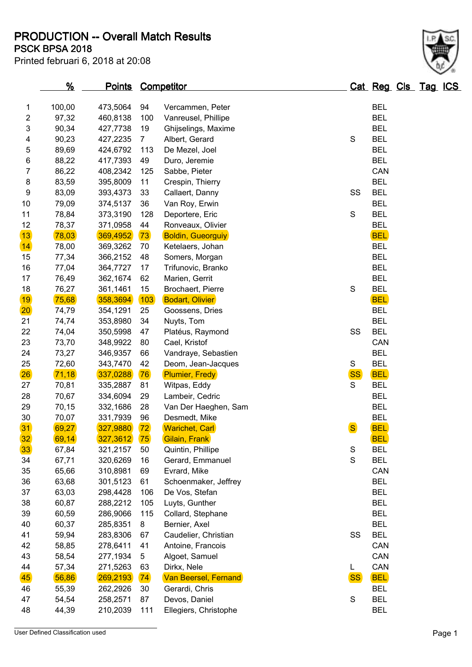**PSCK BPSA 2018 PRODUCTION -- Overall Match Results**

| Printed februari 6, 2018 at 20:08 |  |  |  |  |  |
|-----------------------------------|--|--|--|--|--|
|-----------------------------------|--|--|--|--|--|

|  |  | $\backslash$ |
|--|--|--------------|
|  |  |              |
|  |  | À.<br>٠      |
|  |  | ١            |

|                | $\frac{9}{6}$ | <u>Points</u> |                | <b>Competitor</b>           |              | Cat Reg Cls Tag ICS |  |  |
|----------------|---------------|---------------|----------------|-----------------------------|--------------|---------------------|--|--|
| 1              | 100,00        | 473,5064      | 94             | Vercammen, Peter            |              | <b>BEL</b>          |  |  |
| 2              | 97,32         | 460,8138      | 100            | Vanreusel, Phillipe         |              | <b>BEL</b>          |  |  |
| 3              | 90,34         | 427,7738      | 19             | Ghijselings, Maxime         |              | <b>BEL</b>          |  |  |
| 4              | 90,23         | 427,2235      | $\overline{7}$ | Albert, Gerard              | S            | <b>BEL</b>          |  |  |
| 5              | 89,69         | 424,6792      | 113            | De Mezel, Joel              |              | <b>BEL</b>          |  |  |
| 6              | 88,22         | 417,7393      | 49             | Duro, Jeremie               |              | <b>BEL</b>          |  |  |
| $\overline{7}$ | 86,22         | 408,2342      | 125            | Sabbe, Pieter               |              | CAN                 |  |  |
| 8              | 83,59         | 395,8009      | 11             | Crespin, Thierry            |              | <b>BEL</b>          |  |  |
| 9              | 83,09         | 393,4373      | 33             | Callaert, Danny             | SS           | <b>BEL</b>          |  |  |
| 10             | 79,09         | 374,5137      | 36             | Van Roy, Erwin              |              | <b>BEL</b>          |  |  |
| 11             | 78,84         | 373,3190      | 128            | Deportere, Eric             | S            | <b>BEL</b>          |  |  |
| 12             | 78,37         | 371,0958      | 44             | Ronveaux, Olivier           |              | <b>BEL</b>          |  |  |
| 13             | 78,03         | 369,4952      | 73             | <b>Boldin, Gueorguiy</b>    |              | <b>BEL</b>          |  |  |
| 14             | 78,00         | 369,3262      | 70             | Ketelaers, Johan            |              | <b>BEL</b>          |  |  |
| 15             | 77,34         | 366,2152      | 48             | Somers, Morgan              |              | <b>BEL</b>          |  |  |
| 16             | 77,04         | 364,7727      | 17             | Trifunovic, Branko          |              | <b>BEL</b>          |  |  |
| 17             | 76,49         | 362,1674      | 62             | Marien, Gerrit              |              | <b>BEL</b>          |  |  |
| 18             | 76,27         | 361,1461      | 15             | Brochaert, Pierre           | S            | <b>BEL</b>          |  |  |
| 19             | 75,68         | 358,3694      | 103            | <b>Bodart, Olivier</b>      |              | <b>BEL</b>          |  |  |
| $ 20\rangle$   | 74,79         | 354,1291      | 25             | Goossens, Dries             |              | <b>BEL</b>          |  |  |
| 21             | 74,74         | 353,8980      | 34             | Nuyts, Tom                  |              | <b>BEL</b>          |  |  |
| 22             | 74,04         | 350,5998      | 47             | Platéus, Raymond            | SS           | <b>BEL</b>          |  |  |
| 23             | 73,70         | 348,9922      | 80             | Cael, Kristof               |              | CAN                 |  |  |
| 24             | 73,27         | 346,9357      | 66             | Vandraye, Sebastien         |              | <b>BEL</b>          |  |  |
| 25             | 72,60         | 343,7470      | 42             | Deom, Jean-Jacques          | S            | <b>BEL</b>          |  |  |
| 26             | 71,18         | 337,0288      | 76             | <b>Plumier, Fredy</b>       | <b>SS</b>    | <b>BEL</b>          |  |  |
| 27             | 70,81         | 335,2887      | 81             | Witpas, Eddy                | S            | <b>BEL</b>          |  |  |
| 28             | 70,67         | 334,6094      | 29             | Lambeir, Cedric             |              | <b>BEL</b>          |  |  |
| 29             | 70,15         | 332,1686      | 28             | Van Der Haeghen, Sam        |              | <b>BEL</b>          |  |  |
| 30             | 70,07         | 331,7939      | 96             | Desmedt, Mike               |              | <b>BEL</b>          |  |  |
| 31             | 69,27         | 327,9880      | 72             | <b>Warichet, Carl</b>       | <sub>S</sub> | <b>BEL</b>          |  |  |
| 32             | 69,14         | 327,3612      | 75             | Gilain, Frank               |              | <b>BEL</b>          |  |  |
| 33             | 67,84         | 321,2157      | 50             | Quintin, Phillipe           | S            | <b>BEL</b>          |  |  |
| 34             | 67,71         | 320,6269      | 16             | Gerard, Emmanuel            | $\mathbf S$  | <b>BEL</b>          |  |  |
| 35             | 65,66         | 310,8981      | 69             | Evrard, Mike                |              | CAN                 |  |  |
| 36             | 63,68         | 301,5123      | 61             | Schoenmaker, Jeffrey        |              | <b>BEL</b>          |  |  |
| 37             | 63,03         | 298,4428      | 106            | De Vos, Stefan              |              | <b>BEL</b>          |  |  |
| 38             | 60,87         | 288,2212      | 105            | Luyts, Gunther              |              | <b>BEL</b>          |  |  |
| 39             | 60,59         | 286,9066      | 115            | Collard, Stephane           |              | <b>BEL</b>          |  |  |
| 40             | 60,37         | 285,8351      | 8              | Bernier, Axel               |              | <b>BEL</b>          |  |  |
| 41             | 59,94         | 283,8306      | 67             | Caudelier, Christian        | SS           | <b>BEL</b>          |  |  |
| 42             | 58,85         | 278,6411      | 41             | Antoine, Francois           |              | CAN                 |  |  |
| 43             | 58,54         | 277,1934      | 5              | Algoet, Samuel              |              | CAN                 |  |  |
| 44             | 57,34         | 271,5263      | 63             | Dirkx, Nele                 | L.           | CAN                 |  |  |
| 45             | 56,86         | 269,2193      | 74             | <b>Van Beersel, Fernand</b> | <b>SS</b>    | <b>BEL</b>          |  |  |
| 46             | 55,39         | 262,2926      | 30             | Gerardi, Chris              |              | <b>BEL</b>          |  |  |
| 47             | 54,54         | 258,2571      | 87             | Devos, Daniel               | S            | <b>BEL</b>          |  |  |
| 48             | 44,39         | 210,2039      | 111            | Ellegiers, Christophe       |              | <b>BEL</b>          |  |  |

User Defined Classification used Page 1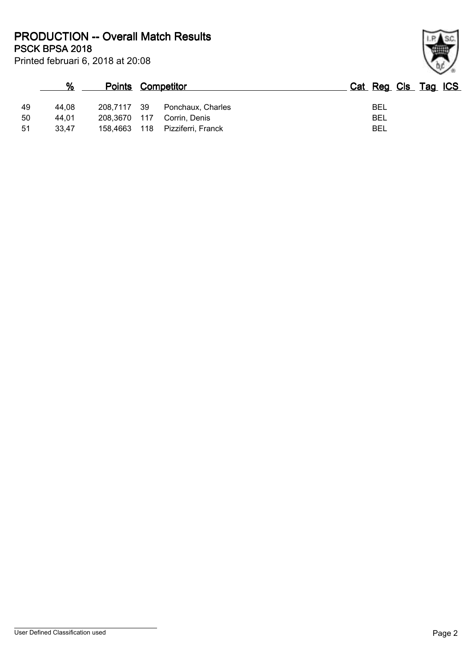Printed februari 6, 2018 at 20:08 **PSCK BPSA 2018 PRODUCTION -- Overall Match Results**

|    | %     | <b>Points Competitor</b> |     |                    | Cat Reg Cls Tag ICS |  |  |
|----|-------|--------------------------|-----|--------------------|---------------------|--|--|
| 49 | 44.08 | 208,7117 39              |     | Ponchaux, Charles  | BEL                 |  |  |
| 50 | 44.01 | 208.3670 117             |     | Corrin, Denis      | BEL                 |  |  |
| 51 | 33,47 | 158,4663                 | 118 | Pizziferri, Franck | BEL                 |  |  |

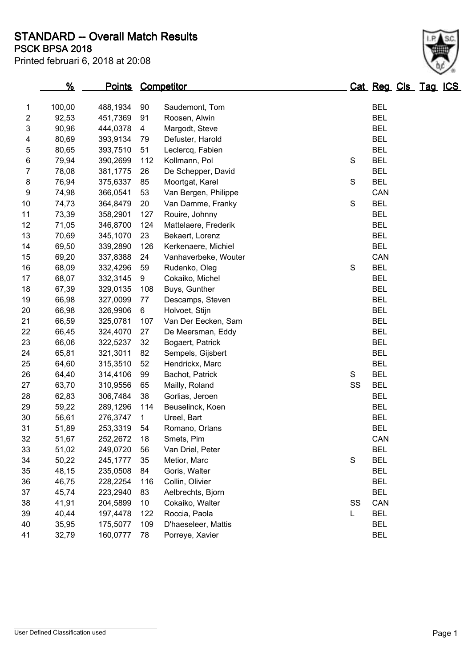**PSCK BPSA 2018 STANDARD -- Overall Match Results**

| Printed februari 6, 2018 at 20:08 |  |  |  |  |  |  |
|-----------------------------------|--|--|--|--|--|--|
|-----------------------------------|--|--|--|--|--|--|

|    | $\frac{9}{6}$ | <u>Points</u> |     | <b>Competitor</b>    |               | Cat Reg Cls Tag ICS |  |  |
|----|---------------|---------------|-----|----------------------|---------------|---------------------|--|--|
| 1  | 100,00        | 488,1934      | 90  | Saudemont, Tom       |               | <b>BEL</b>          |  |  |
| 2  | 92,53         | 451,7369      | 91  | Roosen, Alwin        |               | <b>BEL</b>          |  |  |
| 3  | 90,96         | 444,0378      | 4   | Margodt, Steve       |               | <b>BEL</b>          |  |  |
| 4  | 80,69         | 393,9134      | 79  | Defuster, Harold     |               | <b>BEL</b>          |  |  |
| 5  | 80,65         | 393,7510      | 51  | Leclercq, Fabien     |               | <b>BEL</b>          |  |  |
| 6  | 79,94         | 390,2699      | 112 | Kollmann, Pol        | S             | <b>BEL</b>          |  |  |
| 7  | 78,08         | 381,1775      | 26  | De Schepper, David   |               | <b>BEL</b>          |  |  |
| 8  | 76,94         | 375,6337      | 85  | Moortgat, Karel      | S             | <b>BEL</b>          |  |  |
| 9  | 74,98         | 366,0541      | 53  | Van Bergen, Philippe |               | CAN                 |  |  |
| 10 | 74,73         | 364,8479      | 20  | Van Damme, Franky    | ${\mathsf S}$ | <b>BEL</b>          |  |  |
| 11 | 73,39         | 358,2901      | 127 | Rouire, Johnny       |               | <b>BEL</b>          |  |  |
| 12 | 71,05         | 346,8700      | 124 | Mattelaere, Frederik |               | <b>BEL</b>          |  |  |
| 13 | 70,69         | 345,1070      | 23  | Bekaert, Lorenz      |               | <b>BEL</b>          |  |  |
| 14 | 69,50         | 339,2890      | 126 | Kerkenaere, Michiel  |               | <b>BEL</b>          |  |  |
| 15 | 69,20         | 337,8388      | 24  | Vanhaverbeke, Wouter |               | CAN                 |  |  |
| 16 | 68,09         | 332,4296      | 59  | Rudenko, Oleg        | S             | <b>BEL</b>          |  |  |
| 17 | 68,07         | 332,3145      | 9   | Cokaiko, Michel      |               | <b>BEL</b>          |  |  |
| 18 | 67,39         | 329,0135      | 108 | Buys, Gunther        |               | <b>BEL</b>          |  |  |
| 19 | 66,98         | 327,0099      | 77  | Descamps, Steven     |               | <b>BEL</b>          |  |  |
| 20 | 66,98         | 326,9906      | 6   | Holvoet, Stijn       |               | <b>BEL</b>          |  |  |
| 21 | 66,59         | 325,0781      | 107 | Van Der Eecken, Sam  |               | <b>BEL</b>          |  |  |
| 22 | 66,45         | 324,4070      | 27  | De Meersman, Eddy    |               | <b>BEL</b>          |  |  |
| 23 | 66,06         | 322,5237      | 32  | Bogaert, Patrick     |               | <b>BEL</b>          |  |  |
| 24 | 65,81         | 321,3011      | 82  | Sempels, Gijsbert    |               | <b>BEL</b>          |  |  |
| 25 | 64,60         | 315,3510      | 52  | Hendrickx, Marc      |               | <b>BEL</b>          |  |  |
| 26 | 64,40         | 314,4106      | 99  | Bachot, Patrick      | S             | <b>BEL</b>          |  |  |
| 27 | 63,70         | 310,9556      | 65  | Mailly, Roland       | SS            | <b>BEL</b>          |  |  |
| 28 | 62,83         | 306,7484      | 38  | Gorlias, Jeroen      |               | <b>BEL</b>          |  |  |
| 29 | 59,22         | 289,1296      | 114 | Beuselinck, Koen     |               | <b>BEL</b>          |  |  |
| 30 | 56,61         | 276,3747      | 1   | Ureel, Bart          |               | <b>BEL</b>          |  |  |
| 31 | 51,89         | 253,3319      | 54  | Romano, Orlans       |               | <b>BEL</b>          |  |  |
| 32 | 51,67         | 252,2672      | 18  | Smets, Pim           |               | CAN                 |  |  |
| 33 | 51,02         | 249,0720      | 56  | Van Driel, Peter     |               | <b>BEL</b>          |  |  |
| 34 | 50,22         | 245,1777      | 35  | Metior, Marc         | ${\mathsf S}$ | <b>BEL</b>          |  |  |
| 35 | 48,15         | 235,0508      | 84  | Goris, Walter        |               | <b>BEL</b>          |  |  |
| 36 | 46,75         | 228,2254      | 116 | Collin, Olivier      |               | <b>BEL</b>          |  |  |
| 37 | 45,74         | 223,2940      | 83  | Aelbrechts, Bjorn    |               | <b>BEL</b>          |  |  |
| 38 | 41,91         | 204,5899      | 10  | Cokaiko, Walter      | SS            | CAN                 |  |  |
| 39 | 40,44         | 197,4478      | 122 | Roccia, Paola        | L             | <b>BEL</b>          |  |  |
| 40 | 35,95         | 175,5077      | 109 | D'haeseleer, Mattis  |               | <b>BEL</b>          |  |  |
| 41 | 32,79         | 160,0777      | 78  | Porreye, Xavier      |               | <b>BEL</b>          |  |  |
|    |               |               |     |                      |               |                     |  |  |